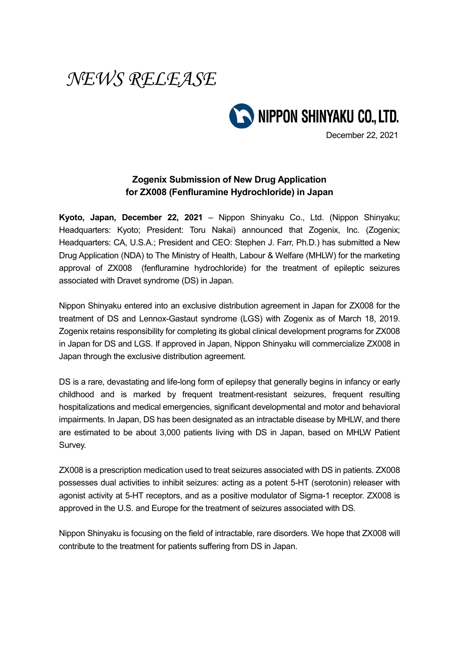## *NEWS RELEASE*



December 22, 2021

## **Zogenix Submission of New Drug Application for ZX008 (Fenfluramine Hydrochloride) in Japan**

**Kyoto, Japan, December 22, 2021** – Nippon Shinyaku Co., Ltd. (Nippon Shinyaku; Headquarters: Kyoto; President: Toru Nakai) announced that Zogenix, Inc. (Zogenix; Headquarters: CA, U.S.A.; President and CEO: Stephen J. Farr, Ph.D.) has submitted a New Drug Application (NDA) to The Ministry of Health, Labour & Welfare (MHLW) for the marketing approval of ZX008 (fenfluramine hydrochloride) for the treatment of epileptic seizures associated with Dravet syndrome (DS) in Japan.

Nippon Shinyaku entered into an exclusive distribution agreement in Japan for ZX008 for the treatment of DS and Lennox-Gastaut syndrome (LGS) with Zogenix as of March 18, 2019. Zogenix retains responsibility for completing its global clinical development programs for ZX008 in Japan for DS and LGS. If approved in Japan, Nippon Shinyaku will commercialize ZX008 in Japan through the exclusive distribution agreement.

DS is a rare, devastating and life-long form of epilepsy that generally begins in infancy or early childhood and is marked by frequent treatment-resistant seizures, frequent resulting hospitalizations and medical emergencies, significant developmental and motor and behavioral impairments. In Japan, DS has been designated as an intractable disease by MHLW, and there are estimated to be about 3,000 patients living with DS in Japan, based on MHLW Patient Survey.

ZX008 is a prescription medication used to treat seizures associated with DS in patients. ZX008 possesses dual activities to inhibit seizures: acting as a potent 5-HT (serotonin) releaser with agonist activity at 5-HT receptors, and as a positive modulator of Sigma-1 receptor. ZX008 is approved in the U.S. and Europe for the treatment of seizures associated with DS.

Nippon Shinyaku is focusing on the field of intractable, rare disorders. We hope that ZX008 will contribute to the treatment for patients suffering from DS in Japan.